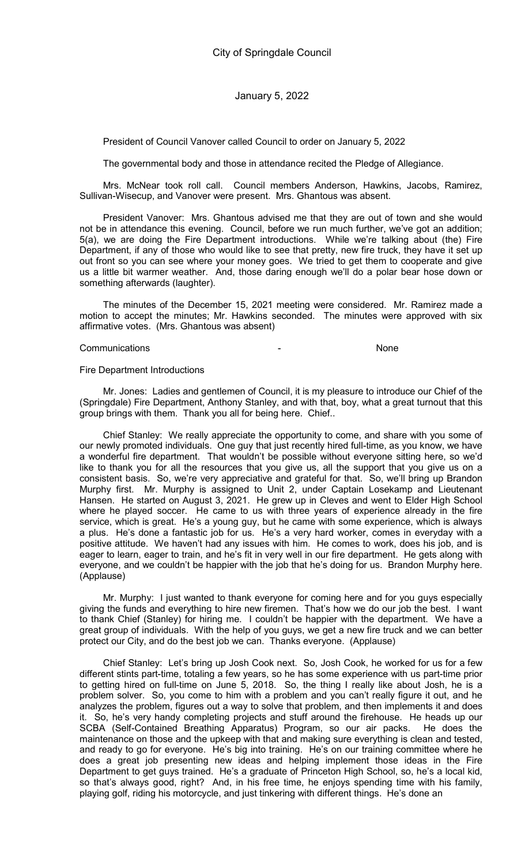President of Council Vanover called Council to order on January 5, 2022

The governmental body and those in attendance recited the Pledge of Allegiance.

Mrs. McNear took roll call. Council members Anderson, Hawkins, Jacobs, Ramirez, Sullivan-Wisecup, and Vanover were present. Mrs. Ghantous was absent.

President Vanover: Mrs. Ghantous advised me that they are out of town and she would not be in attendance this evening. Council, before we run much further, we've got an addition; 5(a), we are doing the Fire Department introductions. While we're talking about (the) Fire Department, if any of those who would like to see that pretty, new fire truck, they have it set up out front so you can see where your money goes. We tried to get them to cooperate and give us a little bit warmer weather. And, those daring enough we'll do a polar bear hose down or something afterwards (laughter).

The minutes of the December 15, 2021 meeting were considered. Mr. Ramirez made a motion to accept the minutes; Mr. Hawkins seconded. The minutes were approved with six affirmative votes. (Mrs. Ghantous was absent)

#### Communications - None

#### Fire Department Introductions

Mr. Jones: Ladies and gentlemen of Council, it is my pleasure to introduce our Chief of the (Springdale) Fire Department, Anthony Stanley, and with that, boy, what a great turnout that this group brings with them. Thank you all for being here. Chief..

Chief Stanley: We really appreciate the opportunity to come, and share with you some of our newly promoted individuals. One guy that just recently hired full-time, as you know, we have a wonderful fire department. That wouldn't be possible without everyone sitting here, so we'd like to thank you for all the resources that you give us, all the support that you give us on a consistent basis. So, we're very appreciative and grateful for that. So, we'll bring up Brandon Murphy first. Mr. Murphy is assigned to Unit 2, under Captain Losekamp and Lieutenant Hansen. He started on August 3, 2021. He grew up in Cleves and went to Elder High School where he played soccer. He came to us with three years of experience already in the fire service, which is great. He's a young guy, but he came with some experience, which is always a plus. He's done a fantastic job for us. He's a very hard worker, comes in everyday with a positive attitude. We haven't had any issues with him. He comes to work, does his job, and is eager to learn, eager to train, and he's fit in very well in our fire department. He gets along with everyone, and we couldn't be happier with the job that he's doing for us. Brandon Murphy here. (Applause)

Mr. Murphy: I just wanted to thank everyone for coming here and for you guys especially giving the funds and everything to hire new firemen. That's how we do our job the best. I want to thank Chief (Stanley) for hiring me. I couldn't be happier with the department. We have a great group of individuals. With the help of you guys, we get a new fire truck and we can better protect our City, and do the best job we can. Thanks everyone. (Applause)

Chief Stanley: Let's bring up Josh Cook next. So, Josh Cook, he worked for us for a few different stints part-time, totaling a few years, so he has some experience with us part-time prior to getting hired on full-time on June 5, 2018. So, the thing I really like about Josh, he is a problem solver. So, you come to him with a problem and you can't really figure it out, and he analyzes the problem, figures out a way to solve that problem, and then implements it and does it. So, he's very handy completing projects and stuff around the firehouse. He heads up our SCBA (Self-Contained Breathing Apparatus) Program, so our air packs. He does the maintenance on those and the upkeep with that and making sure everything is clean and tested, and ready to go for everyone. He's big into training. He's on our training committee where he does a great job presenting new ideas and helping implement those ideas in the Fire Department to get guys trained. He's a graduate of Princeton High School, so, he's a local kid, so that's always good, right? And, in his free time, he enjoys spending time with his family, playing golf, riding his motorcycle, and just tinkering with different things. He's done an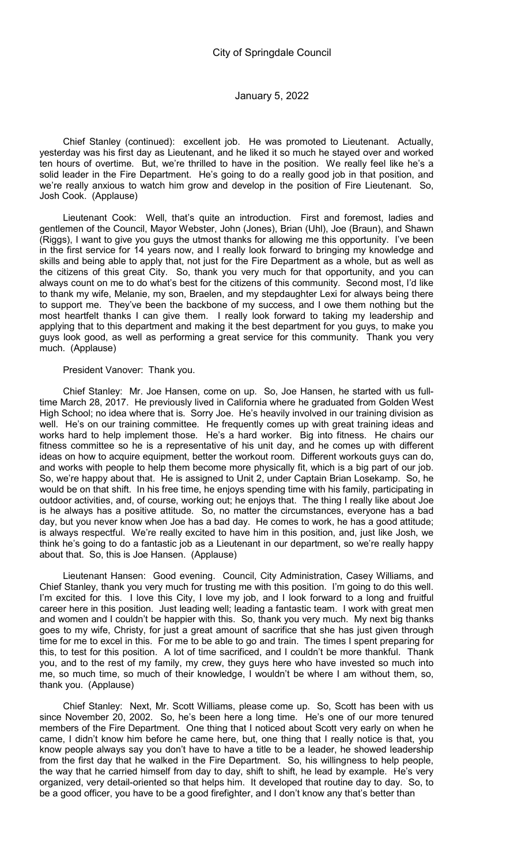Chief Stanley (continued): excellent job. He was promoted to Lieutenant. Actually, yesterday was his first day as Lieutenant, and he liked it so much he stayed over and worked ten hours of overtime. But, we're thrilled to have in the position. We really feel like he's a solid leader in the Fire Department. He's going to do a really good job in that position, and we're really anxious to watch him grow and develop in the position of Fire Lieutenant. So, Josh Cook. (Applause)

Lieutenant Cook: Well, that's quite an introduction. First and foremost, ladies and gentlemen of the Council, Mayor Webster, John (Jones), Brian (Uhl), Joe (Braun), and Shawn (Riggs), I want to give you guys the utmost thanks for allowing me this opportunity. I've been in the first service for 14 years now, and I really look forward to bringing my knowledge and skills and being able to apply that, not just for the Fire Department as a whole, but as well as the citizens of this great City. So, thank you very much for that opportunity, and you can always count on me to do what's best for the citizens of this community. Second most, I'd like to thank my wife, Melanie, my son, Braelen, and my stepdaughter Lexi for always being there to support me. They've been the backbone of my success, and I owe them nothing but the most heartfelt thanks I can give them. I really look forward to taking my leadership and applying that to this department and making it the best department for you guys, to make you guys look good, as well as performing a great service for this community. Thank you very much. (Applause)

### President Vanover: Thank you.

Chief Stanley: Mr. Joe Hansen, come on up. So, Joe Hansen, he started with us fulltime March 28, 2017. He previously lived in California where he graduated from Golden West High School; no idea where that is. Sorry Joe. He's heavily involved in our training division as well. He's on our training committee. He frequently comes up with great training ideas and works hard to help implement those. He's a hard worker. Big into fitness. He chairs our fitness committee so he is a representative of his unit day, and he comes up with different ideas on how to acquire equipment, better the workout room. Different workouts guys can do, and works with people to help them become more physically fit, which is a big part of our job. So, we're happy about that. He is assigned to Unit 2, under Captain Brian Losekamp. So, he would be on that shift. In his free time, he enjoys spending time with his family, participating in outdoor activities, and, of course, working out; he enjoys that. The thing I really like about Joe is he always has a positive attitude. So, no matter the circumstances, everyone has a bad day, but you never know when Joe has a bad day. He comes to work, he has a good attitude; is always respectful. We're really excited to have him in this position, and, just like Josh, we think he's going to do a fantastic job as a Lieutenant in our department, so we're really happy about that. So, this is Joe Hansen. (Applause)

Lieutenant Hansen: Good evening. Council, City Administration, Casey Williams, and Chief Stanley, thank you very much for trusting me with this position. I'm going to do this well. I'm excited for this. I love this City, I love my job, and I look forward to a long and fruitful career here in this position. Just leading well; leading a fantastic team. I work with great men and women and I couldn't be happier with this. So, thank you very much. My next big thanks goes to my wife, Christy, for just a great amount of sacrifice that she has just given through time for me to excel in this. For me to be able to go and train. The times I spent preparing for this, to test for this position. A lot of time sacrificed, and I couldn't be more thankful. Thank you, and to the rest of my family, my crew, they guys here who have invested so much into me, so much time, so much of their knowledge, I wouldn't be where I am without them, so, thank you. (Applause)

Chief Stanley: Next, Mr. Scott Williams, please come up. So, Scott has been with us since November 20, 2002. So, he's been here a long time. He's one of our more tenured members of the Fire Department. One thing that I noticed about Scott very early on when he came, I didn't know him before he came here, but, one thing that I really notice is that, you know people always say you don't have to have a title to be a leader, he showed leadership from the first day that he walked in the Fire Department. So, his willingness to help people, the way that he carried himself from day to day, shift to shift, he lead by example. He's very organized, very detail-oriented so that helps him. It developed that routine day to day. So, to be a good officer, you have to be a good firefighter, and I don't know any that's better than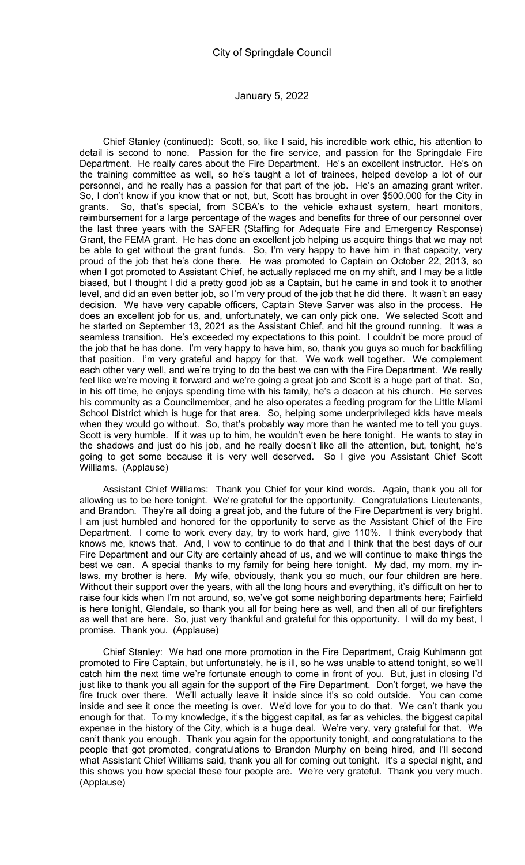Chief Stanley (continued): Scott, so, like I said, his incredible work ethic, his attention to detail is second to none. Passion for the fire service, and passion for the Springdale Fire Department. He really cares about the Fire Department. He's an excellent instructor. He's on the training committee as well, so he's taught a lot of trainees, helped develop a lot of our personnel, and he really has a passion for that part of the job. He's an amazing grant writer. So, I don't know if you know that or not, but, Scott has brought in over \$500,000 for the City in grants. So, that's special, from SCBA's to the vehicle exhaust system, heart monitors, reimbursement for a large percentage of the wages and benefits for three of our personnel over the last three years with the SAFER (Staffing for Adequate Fire and Emergency Response) Grant, the FEMA grant. He has done an excellent job helping us acquire things that we may not be able to get without the grant funds. So, I'm very happy to have him in that capacity, very proud of the job that he's done there. He was promoted to Captain on October 22, 2013, so when I got promoted to Assistant Chief, he actually replaced me on my shift, and I may be a little biased, but I thought I did a pretty good job as a Captain, but he came in and took it to another level, and did an even better job, so I'm very proud of the job that he did there. It wasn't an easy decision. We have very capable officers, Captain Steve Sarver was also in the process. He does an excellent job for us, and, unfortunately, we can only pick one. We selected Scott and he started on September 13, 2021 as the Assistant Chief, and hit the ground running. It was a seamless transition. He's exceeded my expectations to this point. I couldn't be more proud of the job that he has done. I'm very happy to have him, so, thank you guys so much for backfilling that position. I'm very grateful and happy for that. We work well together. We complement each other very well, and we're trying to do the best we can with the Fire Department. We really feel like we're moving it forward and we're going a great job and Scott is a huge part of that. So, in his off time, he enjoys spending time with his family, he's a deacon at his church. He serves his community as a Councilmember, and he also operates a feeding program for the Little Miami School District which is huge for that area. So, helping some underprivileged kids have meals when they would go without. So, that's probably way more than he wanted me to tell you guys. Scott is very humble. If it was up to him, he wouldn't even be here tonight. He wants to stay in the shadows and just do his job, and he really doesn't like all the attention, but, tonight, he's going to get some because it is very well deserved. So I give you Assistant Chief Scott Williams. (Applause)

Assistant Chief Williams: Thank you Chief for your kind words. Again, thank you all for allowing us to be here tonight. We're grateful for the opportunity. Congratulations Lieutenants, and Brandon. They're all doing a great job, and the future of the Fire Department is very bright. I am just humbled and honored for the opportunity to serve as the Assistant Chief of the Fire Department. I come to work every day, try to work hard, give 110%. I think everybody that knows me, knows that. And, I vow to continue to do that and I think that the best days of our Fire Department and our City are certainly ahead of us, and we will continue to make things the best we can. A special thanks to my family for being here tonight. My dad, my mom, my inlaws, my brother is here. My wife, obviously, thank you so much, our four children are here. Without their support over the years, with all the long hours and everything, it's difficult on her to raise four kids when I'm not around, so, we've got some neighboring departments here; Fairfield is here tonight, Glendale, so thank you all for being here as well, and then all of our firefighters as well that are here. So, just very thankful and grateful for this opportunity. I will do my best, I promise. Thank you. (Applause)

Chief Stanley: We had one more promotion in the Fire Department, Craig Kuhlmann got promoted to Fire Captain, but unfortunately, he is ill, so he was unable to attend tonight, so we'll catch him the next time we're fortunate enough to come in front of you. But, just in closing I'd just like to thank you all again for the support of the Fire Department. Don't forget, we have the fire truck over there. We'll actually leave it inside since it's so cold outside. You can come inside and see it once the meeting is over. We'd love for you to do that. We can't thank you enough for that. To my knowledge, it's the biggest capital, as far as vehicles, the biggest capital expense in the history of the City, which is a huge deal. We're very, very grateful for that. We can't thank you enough. Thank you again for the opportunity tonight, and congratulations to the people that got promoted, congratulations to Brandon Murphy on being hired, and I'll second what Assistant Chief Williams said, thank you all for coming out tonight. It's a special night, and this shows you how special these four people are. We're very grateful. Thank you very much. (Applause)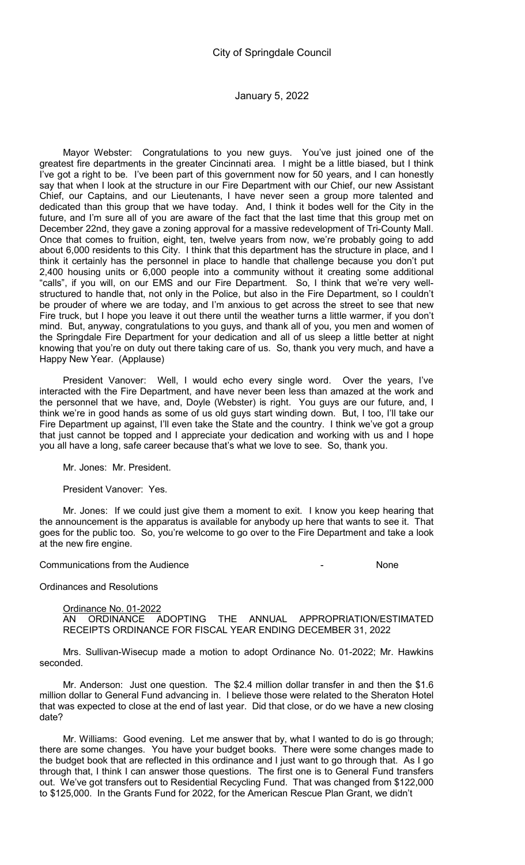Mayor Webster: Congratulations to you new guys. You've just joined one of the greatest fire departments in the greater Cincinnati area. I might be a little biased, but I think I've got a right to be. I've been part of this government now for 50 years, and I can honestly say that when I look at the structure in our Fire Department with our Chief, our new Assistant Chief, our Captains, and our Lieutenants, I have never seen a group more talented and dedicated than this group that we have today. And, I think it bodes well for the City in the future, and I'm sure all of you are aware of the fact that the last time that this group met on December 22nd, they gave a zoning approval for a massive redevelopment of Tri-County Mall. Once that comes to fruition, eight, ten, twelve years from now, we're probably going to add about 6,000 residents to this City. I think that this department has the structure in place, and I think it certainly has the personnel in place to handle that challenge because you don't put 2,400 housing units or 6,000 people into a community without it creating some additional "calls", if you will, on our EMS and our Fire Department. So, I think that we're very wellstructured to handle that, not only in the Police, but also in the Fire Department, so I couldn't be prouder of where we are today, and I'm anxious to get across the street to see that new Fire truck, but I hope you leave it out there until the weather turns a little warmer, if you don't mind. But, anyway, congratulations to you guys, and thank all of you, you men and women of the Springdale Fire Department for your dedication and all of us sleep a little better at night knowing that you're on duty out there taking care of us. So, thank you very much, and have a Happy New Year. (Applause)

President Vanover: Well, I would echo every single word. Over the years, I've interacted with the Fire Department, and have never been less than amazed at the work and the personnel that we have, and, Doyle (Webster) is right. You guys are our future, and, I think we're in good hands as some of us old guys start winding down. But, I too, I'll take our Fire Department up against, I'll even take the State and the country. I think we've got a group that just cannot be topped and I appreciate your dedication and working with us and I hope you all have a long, safe career because that's what we love to see. So, thank you.

Mr. Jones: Mr. President.

President Vanover: Yes.

Mr. Jones: If we could just give them a moment to exit. I know you keep hearing that the announcement is the apparatus is available for anybody up here that wants to see it. That goes for the public too. So, you're welcome to go over to the Fire Department and take a look at the new fire engine.

Communications from the Audience - None

Ordinances and Resolutions

Ordinance No. 01-2022 AN ORDINANCE ADOPTING THE ANNUAL APPROPRIATION/ESTIMATED RECEIPTS ORDINANCE FOR FISCAL YEAR ENDING DECEMBER 31, 2022

Mrs. Sullivan-Wisecup made a motion to adopt Ordinance No. 01-2022; Mr. Hawkins seconded.

Mr. Anderson: Just one question. The \$2.4 million dollar transfer in and then the \$1.6 million dollar to General Fund advancing in. I believe those were related to the Sheraton Hotel that was expected to close at the end of last year. Did that close, or do we have a new closing date?

Mr. Williams: Good evening. Let me answer that by, what I wanted to do is go through; there are some changes. You have your budget books. There were some changes made to the budget book that are reflected in this ordinance and I just want to go through that. As I go through that, I think I can answer those questions. The first one is to General Fund transfers out. We've got transfers out to Residential Recycling Fund. That was changed from \$122,000 to \$125,000. In the Grants Fund for 2022, for the American Rescue Plan Grant, we didn't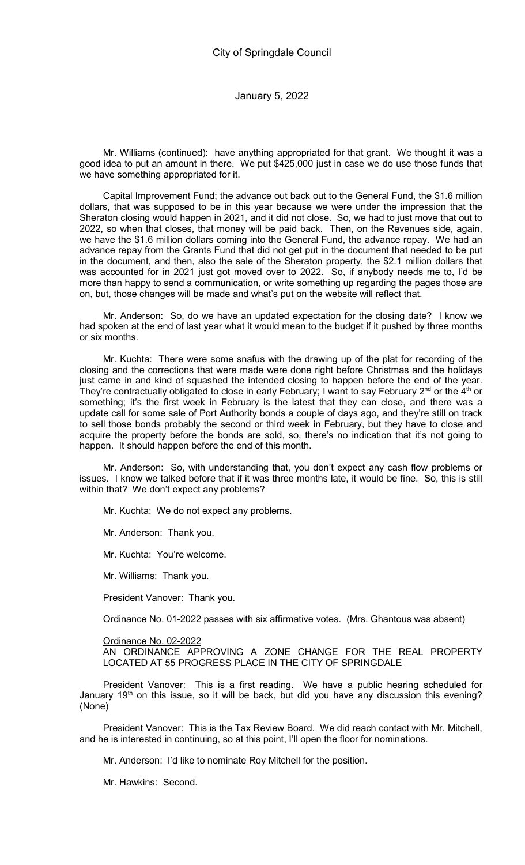Mr. Williams (continued): have anything appropriated for that grant. We thought it was a good idea to put an amount in there. We put \$425,000 just in case we do use those funds that we have something appropriated for it.

Capital Improvement Fund; the advance out back out to the General Fund, the \$1.6 million dollars, that was supposed to be in this year because we were under the impression that the Sheraton closing would happen in 2021, and it did not close. So, we had to just move that out to 2022, so when that closes, that money will be paid back. Then, on the Revenues side, again, we have the \$1.6 million dollars coming into the General Fund, the advance repay. We had an advance repay from the Grants Fund that did not get put in the document that needed to be put in the document, and then, also the sale of the Sheraton property, the \$2.1 million dollars that was accounted for in 2021 just got moved over to 2022. So, if anybody needs me to, I'd be more than happy to send a communication, or write something up regarding the pages those are on, but, those changes will be made and what's put on the website will reflect that.

Mr. Anderson: So, do we have an updated expectation for the closing date? I know we had spoken at the end of last year what it would mean to the budget if it pushed by three months or six months.

Mr. Kuchta: There were some snafus with the drawing up of the plat for recording of the closing and the corrections that were made were done right before Christmas and the holidays just came in and kind of squashed the intended closing to happen before the end of the year. They're contractually obligated to close in early February; I want to say February  $2^{nd}$  or the  $4^{th}$  or something; it's the first week in February is the latest that they can close, and there was a update call for some sale of Port Authority bonds a couple of days ago, and they're still on track to sell those bonds probably the second or third week in February, but they have to close and acquire the property before the bonds are sold, so, there's no indication that it's not going to happen. It should happen before the end of this month.

Mr. Anderson: So, with understanding that, you don't expect any cash flow problems or issues. I know we talked before that if it was three months late, it would be fine. So, this is still within that? We don't expect any problems?

Mr. Kuchta: We do not expect any problems.

Mr. Anderson: Thank you.

Mr. Kuchta: You're welcome.

Mr. Williams: Thank you.

President Vanover: Thank you.

Ordinance No. 01-2022 passes with six affirmative votes. (Mrs. Ghantous was absent)

Ordinance No. 02-2022 AN ORDINANCE APPROVING A ZONE CHANGE FOR THE REAL PROPERTY LOCATED AT 55 PROGRESS PLACE IN THE CITY OF SPRINGDALE

President Vanover: This is a first reading. We have a public hearing scheduled for January 19<sup>th</sup> on this issue, so it will be back, but did you have any discussion this evening? (None)

President Vanover: This is the Tax Review Board. We did reach contact with Mr. Mitchell, and he is interested in continuing, so at this point, I'll open the floor for nominations.

Mr. Anderson: I'd like to nominate Roy Mitchell for the position.

Mr. Hawkins: Second.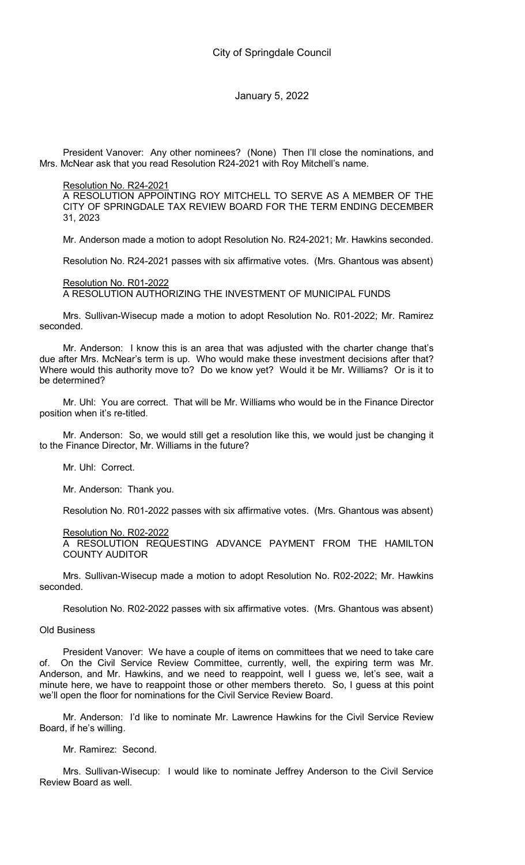President Vanover: Any other nominees? (None) Then I'll close the nominations, and Mrs. McNear ask that you read Resolution R24-2021 with Roy Mitchell's name.

Resolution No. R24-2021

A RESOLUTION APPOINTING ROY MITCHELL TO SERVE AS A MEMBER OF THE CITY OF SPRINGDALE TAX REVIEW BOARD FOR THE TERM ENDING DECEMBER 31, 2023

Mr. Anderson made a motion to adopt Resolution No. R24-2021; Mr. Hawkins seconded.

Resolution No. R24-2021 passes with six affirmative votes. (Mrs. Ghantous was absent)

Resolution No. R01-2022

A RESOLUTION AUTHORIZING THE INVESTMENT OF MUNICIPAL FUNDS

Mrs. Sullivan-Wisecup made a motion to adopt Resolution No. R01-2022; Mr. Ramirez seconded.

Mr. Anderson: I know this is an area that was adjusted with the charter change that's due after Mrs. McNear's term is up. Who would make these investment decisions after that? Where would this authority move to? Do we know yet? Would it be Mr. Williams? Or is it to be determined?

Mr. Uhl: You are correct. That will be Mr. Williams who would be in the Finance Director position when it's re-titled.

Mr. Anderson: So, we would still get a resolution like this, we would just be changing it to the Finance Director, Mr. Williams in the future?

Mr. Uhl: Correct.

Mr. Anderson: Thank you.

Resolution No. R01-2022 passes with six affirmative votes. (Mrs. Ghantous was absent)

Resolution No. R02-2022

A RESOLUTION REQUESTING ADVANCE PAYMENT FROM THE HAMILTON COUNTY AUDITOR

Mrs. Sullivan-Wisecup made a motion to adopt Resolution No. R02-2022; Mr. Hawkins seconded.

Resolution No. R02-2022 passes with six affirmative votes. (Mrs. Ghantous was absent)

Old Business

President Vanover: We have a couple of items on committees that we need to take care of. On the Civil Service Review Committee, currently, well, the expiring term was Mr. Anderson, and Mr. Hawkins, and we need to reappoint, well I guess we, let's see, wait a minute here, we have to reappoint those or other members thereto. So, I guess at this point we'll open the floor for nominations for the Civil Service Review Board.

Mr. Anderson: I'd like to nominate Mr. Lawrence Hawkins for the Civil Service Review Board, if he's willing.

Mr. Ramirez: Second.

Mrs. Sullivan-Wisecup: I would like to nominate Jeffrey Anderson to the Civil Service Review Board as well.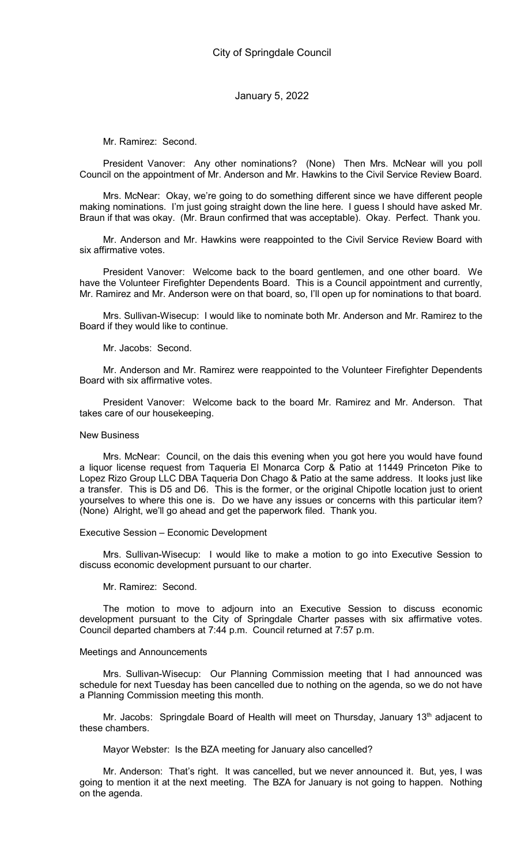Mr. Ramirez: Second.

President Vanover: Any other nominations? (None) Then Mrs. McNear will you poll Council on the appointment of Mr. Anderson and Mr. Hawkins to the Civil Service Review Board.

Mrs. McNear: Okay, we're going to do something different since we have different people making nominations. I'm just going straight down the line here. I guess I should have asked Mr. Braun if that was okay. (Mr. Braun confirmed that was acceptable). Okay. Perfect. Thank you.

Mr. Anderson and Mr. Hawkins were reappointed to the Civil Service Review Board with six affirmative votes.

President Vanover: Welcome back to the board gentlemen, and one other board. We have the Volunteer Firefighter Dependents Board. This is a Council appointment and currently, Mr. Ramirez and Mr. Anderson were on that board, so, I'll open up for nominations to that board.

Mrs. Sullivan-Wisecup: I would like to nominate both Mr. Anderson and Mr. Ramirez to the Board if they would like to continue.

Mr. Jacobs: Second.

Mr. Anderson and Mr. Ramirez were reappointed to the Volunteer Firefighter Dependents Board with six affirmative votes.

President Vanover: Welcome back to the board Mr. Ramirez and Mr. Anderson. That takes care of our housekeeping.

#### New Business

Mrs. McNear: Council, on the dais this evening when you got here you would have found a liquor license request from Taqueria El Monarca Corp & Patio at 11449 Princeton Pike to Lopez Rizo Group LLC DBA Taqueria Don Chago & Patio at the same address. It looks just like a transfer. This is D5 and D6. This is the former, or the original Chipotle location just to orient yourselves to where this one is. Do we have any issues or concerns with this particular item? (None) Alright, we'll go ahead and get the paperwork filed. Thank you.

#### Executive Session – Economic Development

Mrs. Sullivan-Wisecup: I would like to make a motion to go into Executive Session to discuss economic development pursuant to our charter.

Mr. Ramirez: Second.

The motion to move to adjourn into an Executive Session to discuss economic development pursuant to the City of Springdale Charter passes with six affirmative votes. Council departed chambers at 7:44 p.m. Council returned at 7:57 p.m.

## Meetings and Announcements

Mrs. Sullivan-Wisecup: Our Planning Commission meeting that I had announced was schedule for next Tuesday has been cancelled due to nothing on the agenda, so we do not have a Planning Commission meeting this month.

Mr. Jacobs: Springdale Board of Health will meet on Thursday, January 13<sup>th</sup> adjacent to these chambers.

Mayor Webster: Is the BZA meeting for January also cancelled?

Mr. Anderson: That's right. It was cancelled, but we never announced it. But, yes, I was going to mention it at the next meeting. The BZA for January is not going to happen. Nothing on the agenda.